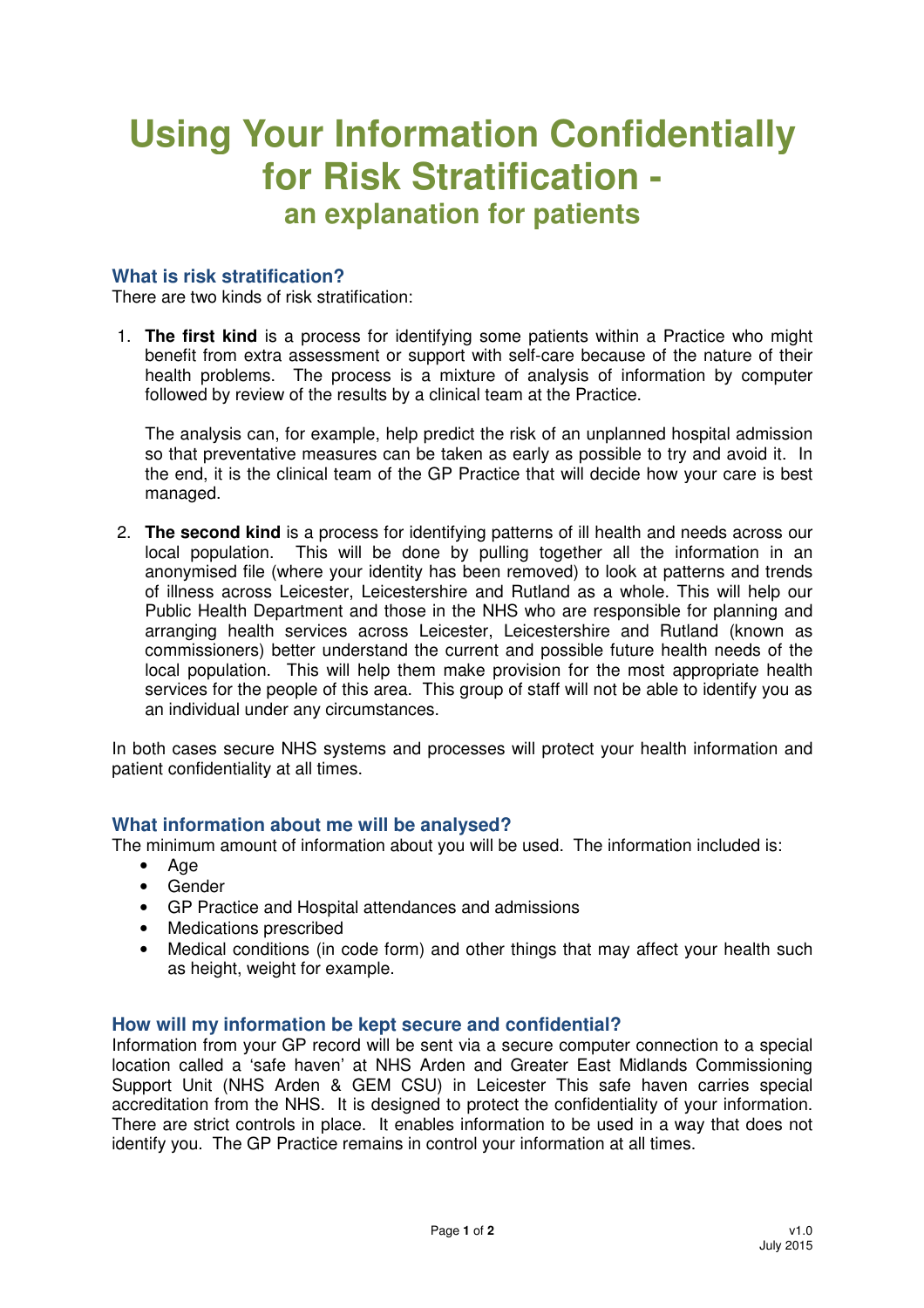# **Using Your Information Confidentially for Risk Stratification an explanation for patients**

## **What is risk stratification?**

There are two kinds of risk stratification:

1. **The first kind** is a process for identifying some patients within a Practice who might benefit from extra assessment or support with self-care because of the nature of their health problems. The process is a mixture of analysis of information by computer followed by review of the results by a clinical team at the Practice.

The analysis can, for example, help predict the risk of an unplanned hospital admission so that preventative measures can be taken as early as possible to try and avoid it. In the end, it is the clinical team of the GP Practice that will decide how your care is best managed.

2. **The second kind** is a process for identifying patterns of ill health and needs across our local population. This will be done by pulling together all the information in an anonymised file (where your identity has been removed) to look at patterns and trends of illness across Leicester, Leicestershire and Rutland as a whole. This will help our Public Health Department and those in the NHS who are responsible for planning and arranging health services across Leicester, Leicestershire and Rutland (known as commissioners) better understand the current and possible future health needs of the local population. This will help them make provision for the most appropriate health services for the people of this area. This group of staff will not be able to identify you as an individual under any circumstances.

In both cases secure NHS systems and processes will protect your health information and patient confidentiality at all times.

### **What information about me will be analysed?**

The minimum amount of information about you will be used. The information included is:

- Age
- Gender
- GP Practice and Hospital attendances and admissions
- Medications prescribed
- Medical conditions (in code form) and other things that may affect your health such as height, weight for example.

#### **How will my information be kept secure and confidential?**

Information from your GP record will be sent via a secure computer connection to a special location called a 'safe haven' at NHS Arden and Greater East Midlands Commissioning Support Unit (NHS Arden & GEM CSU) in Leicester This safe haven carries special accreditation from the NHS. It is designed to protect the confidentiality of your information. There are strict controls in place. It enables information to be used in a way that does not identify you. The GP Practice remains in control your information at all times.